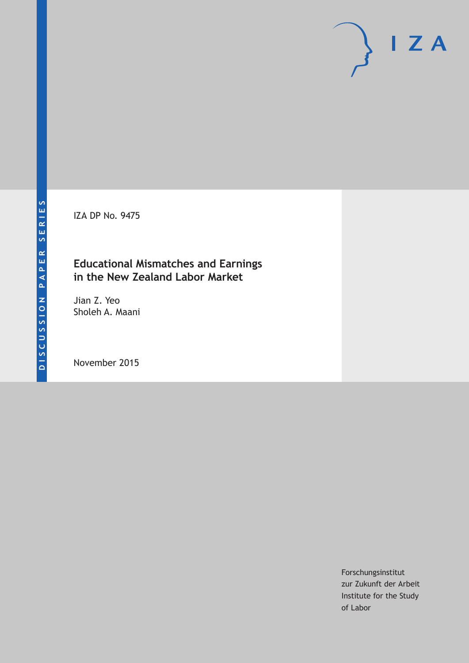IZA DP No. 9475

# **Educational Mismatches and Earnings in the New Zealand Labor Market**

Jian Z. Yeo Sholeh A. Maani

November 2015

Forschungsinstitut zur Zukunft der Arbeit Institute for the Study of Labor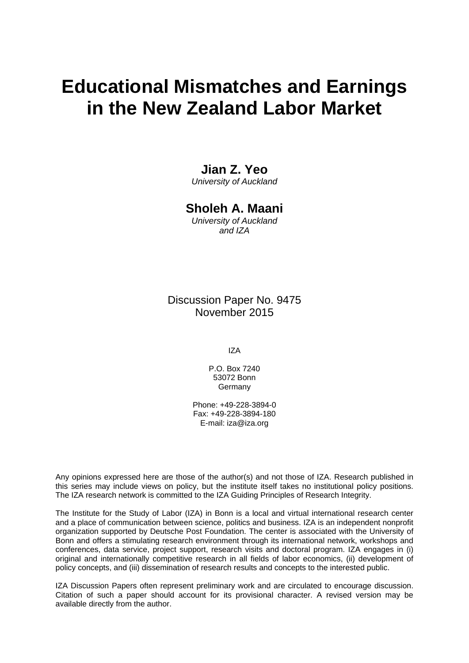# **Educational Mismatches and Earnings in the New Zealand Labor Market**

## **Jian Z. Yeo**

*University of Auckland* 

### **Sholeh A. Maani**

*University of Auckland and IZA* 

Discussion Paper No. 9475 November 2015

IZA

P.O. Box 7240 53072 Bonn **Germany** 

Phone: +49-228-3894-0 Fax: +49-228-3894-180 E-mail: iza@iza.org

Any opinions expressed here are those of the author(s) and not those of IZA. Research published in this series may include views on policy, but the institute itself takes no institutional policy positions. The IZA research network is committed to the IZA Guiding Principles of Research Integrity.

The Institute for the Study of Labor (IZA) in Bonn is a local and virtual international research center and a place of communication between science, politics and business. IZA is an independent nonprofit organization supported by Deutsche Post Foundation. The center is associated with the University of Bonn and offers a stimulating research environment through its international network, workshops and conferences, data service, project support, research visits and doctoral program. IZA engages in (i) original and internationally competitive research in all fields of labor economics, (ii) development of policy concepts, and (iii) dissemination of research results and concepts to the interested public.

IZA Discussion Papers often represent preliminary work and are circulated to encourage discussion. Citation of such a paper should account for its provisional character. A revised version may be available directly from the author.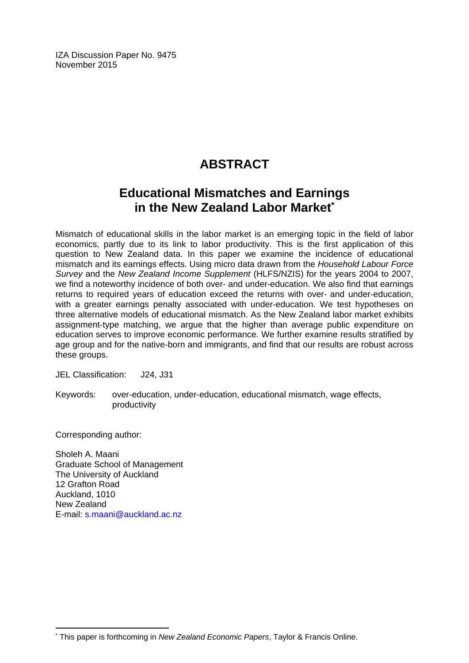IZA Discussion Paper No. 9475 November 2015

# **ABSTRACT**

# **Educational Mismatches and Earnings in the New Zealand Labor Market\***

Mismatch of educational skills in the labor market is an emerging topic in the field of labor economics, partly due to its link to labor productivity. This is the first application of this question to New Zealand data. In this paper we examine the incidence of educational mismatch and its earnings effects. Using micro data drawn from the *Household Labour Force Survey* and the *New Zealand Income Supplement* (HLFS/NZIS) for the years 2004 to 2007, we find a noteworthy incidence of both over‐ and under-education. We also find that earnings returns to required years of education exceed the returns with over- and under-education, with a greater earnings penalty associated with under-education. We test hypotheses on three alternative models of educational mismatch. As the New Zealand labor market exhibits assignment‐type matching, we argue that the higher than average public expenditure on education serves to improve economic performance. We further examine results stratified by age group and for the native‐born and immigrants, and find that our results are robust across these groups.

JEL Classification: J24, J31

Keywords: over‐education, under‐education, educational mismatch, wage effects, productivity

Corresponding author:

Sholeh A. Maani Graduate School of Management The University of Auckland 12 Grafton Road Auckland, 1010 New Zealand E-mail: s.maani@auckland.ac.nz

 $\overline{\phantom{a}}$ \* This paper is forthcoming in *New Zealand Economic Papers*, Taylor & Francis Online.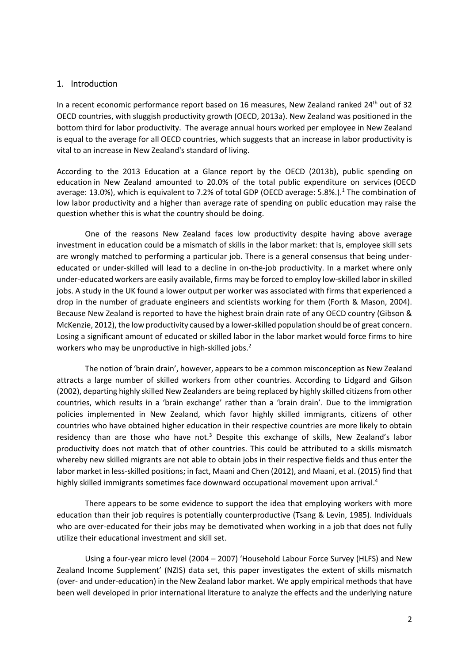#### 1. Introduction

In a recent economic performance report based on 16 measures, New Zealand ranked 24<sup>th</sup> out of 32 OECD countries, with sluggish productivity growth (OECD, 2013a). New Zealand was positioned in the bottom third for labor productivity. The average annual hours worked per employee in New Zealand is equal to the average for all OECD countries, which suggests that an increase in labor productivity is vital to an increase in New Zealand's standard of living.

According to the 2013 Education at a Glance report by the OECD (2013b), public spending on education in New Zealand amounted to 20.0% of the total public expenditure on services (OECD average: 13.0%), which is equivalent to 7.2% of total GDP (OECD average: 5.8%.).<sup>1</sup> The combination of low labor productivity and a higher than average rate of spending on public education may raise the question whether this is what the country should be doing.

One of the reasons New Zealand faces low productivity despite having above average investment in education could be a mismatch of skills in the labor market: that is, employee skill sets are wrongly matched to performing a particular job. There is a general consensus that being under‐ educated or under-skilled will lead to a decline in on-the-job productivity. In a market where only under‐educated workers are easily available, firms may be forced to employ low‐skilled labor in skilled jobs. A study in the UK found a lower output per worker was associated with firms that experienced a drop in the number of graduate engineers and scientists working for them (Forth & Mason, 2004). Because New Zealand is reported to have the highest brain drain rate of any OECD country (Gibson & McKenzie, 2012), the low productivity caused by a lower-skilled population should be of great concern. Losing a significant amount of educated or skilled labor in the labor market would force firms to hire workers who may be unproductive in high-skilled jobs.<sup>2</sup>

The notion of 'brain drain', however, appears to be a common misconception as New Zealand attracts a large number of skilled workers from other countries. According to Lidgard and Gilson (2002), departing highly skilled New Zealanders are being replaced by highly skilled citizens from other countries, which results in a 'brain exchange' rather than a 'brain drain'. Due to the immigration policies implemented in New Zealand, which favor highly skilled immigrants, citizens of other countries who have obtained higher education in their respective countries are more likely to obtain residency than are those who have not.<sup>3</sup> Despite this exchange of skills, New Zealand's labor productivity does not match that of other countries. This could be attributed to a skills mismatch whereby new skilled migrants are not able to obtain jobs in their respective fields and thus enter the labor market in less‐skilled positions; in fact, Maani and Chen (2012), and Maani, et al. (2015) find that highly skilled immigrants sometimes face downward occupational movement upon arrival.<sup>4</sup>

There appears to be some evidence to support the idea that employing workers with more education than their job requires is potentially counterproductive (Tsang & Levin, 1985). Individuals who are over-educated for their jobs may be demotivated when working in a job that does not fully utilize their educational investment and skill set.

Using a four‐year micro level (2004 – 2007) 'Household Labour Force Survey (HLFS) and New Zealand Income Supplement' (NZIS) data set, this paper investigates the extent of skills mismatch (over‐ and under‐education) in the New Zealand labor market. We apply empirical methods that have been well developed in prior international literature to analyze the effects and the underlying nature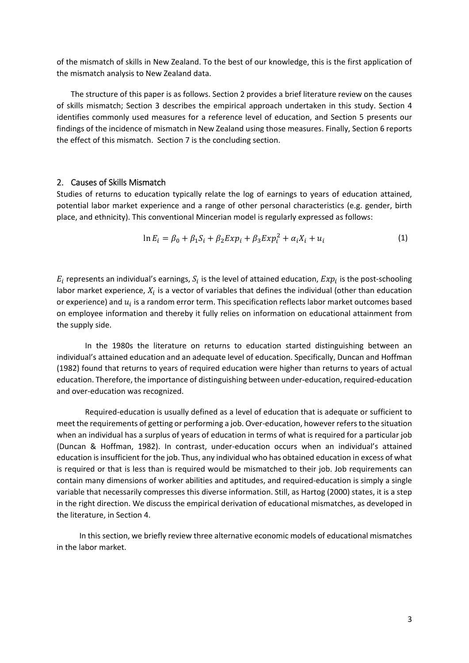of the mismatch of skills in New Zealand. To the best of our knowledge, this is the first application of the mismatch analysis to New Zealand data.

The structure of this paper is as follows. Section 2 provides a brief literature review on the causes of skills mismatch; Section 3 describes the empirical approach undertaken in this study. Section 4 identifies commonly used measures for a reference level of education, and Section 5 presents our findings of the incidence of mismatch in New Zealand using those measures. Finally, Section 6 reports the effect of this mismatch. Section 7 is the concluding section.

#### 2. Causes of Skills Mismatch

Studies of returns to education typically relate the log of earnings to years of education attained, potential labor market experience and a range of other personal characteristics (e.g. gender, birth place, and ethnicity). This conventional Mincerian model is regularly expressed as follows:

$$
\ln E_i = \beta_0 + \beta_1 S_i + \beta_2 E x p_i + \beta_3 E x p_i^2 + \alpha_i X_i + u_i \tag{1}
$$

 $E_i$  represents an individual's earnings,  $S_i$  is the level of attained education,  $Exp_i$  is the post-schooling labor market experience,  $X_i$  is a vector of variables that defines the individual (other than education or experience) and  $u_i$  is a random error term. This specification reflects labor market outcomes based on employee information and thereby it fully relies on information on educational attainment from the supply side.

In the 1980s the literature on returns to education started distinguishing between an individual's attained education and an adequate level of education. Specifically, Duncan and Hoffman (1982) found that returns to years of required education were higher than returns to years of actual education. Therefore, the importance of distinguishing between under‐education, required‐education and over‐education was recognized.

Required‐education is usually defined as a level of education that is adequate or sufficient to meet the requirements of getting or performing a job. Over-education, however refers to the situation when an individual has a surplus of years of education in terms of what is required for a particular job (Duncan & Hoffman, 1982). In contrast, under‐education occurs when an individual's attained education isinsufficient for the job. Thus, any individual who has obtained education in excess of what is required or that is less than is required would be mismatched to their job. Job requirements can contain many dimensions of worker abilities and aptitudes, and required‐education is simply a single variable that necessarily compresses this diverse information. Still, as Hartog (2000) states, it is a step in the right direction. We discuss the empirical derivation of educational mismatches, as developed in the literature, in Section 4.

In this section, we briefly review three alternative economic models of educational mismatches in the labor market.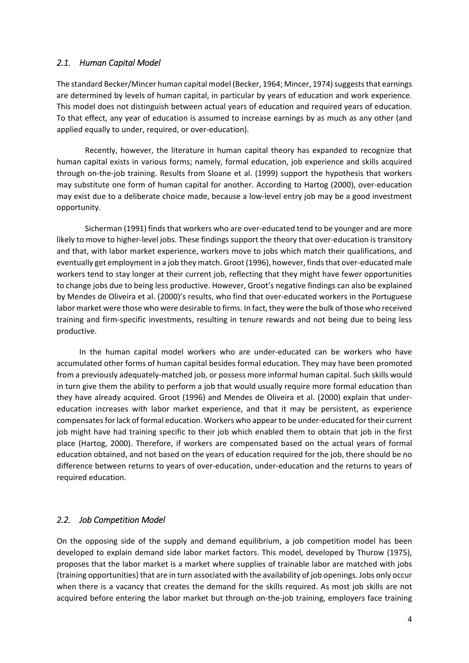#### *2.1. Human Capital Model*

The standard Becker/Mincer human capital model (Becker, 1964; Mincer, 1974) suggests that earnings are determined by levels of human capital, in particular by years of education and work experience. This model does not distinguish between actual years of education and required years of education. To that effect, any year of education is assumed to increase earnings by as much as any other (and applied equally to under, required, or over-education).

Recently, however, the literature in human capital theory has expanded to recognize that human capital exists in various forms; namely, formal education, job experience and skills acquired through on‐the‐job training. Results from Sloane et al. (1999) support the hypothesis that workers may substitute one form of human capital for another. According to Hartog (2000), over‐education may exist due to a deliberate choice made, because a low‐level entry job may be a good investment opportunity.

Sicherman (1991) finds that workers who are over-educated tend to be younger and are more likely to move to higher-level jobs. These findings support the theory that over-education is transitory and that, with labor market experience, workers move to jobs which match their qualifications, and eventually get employment in a job they match. Groot (1996), however, finds that over-educated male workers tend to stay longer at their current job, reflecting that they might have fewer opportunities to change jobs due to being less productive. However, Groot's negative findings can also be explained by Mendes de Oliveira et al. (2000)'s results, who find that over‐educated workers in the Portuguese labor market were those who were desirable to firms. In fact, they were the bulk of those who received training and firm‐specific investments, resulting in tenure rewards and not being due to being less productive.

In the human capital model workers who are under‐educated can be workers who have accumulated other forms of human capital besides formal education. They may have been promoted from a previously adequately‐matched job, or possess more informal human capital. Such skills would in turn give them the ability to perform a job that would usually require more formal education than they have already acquired. Groot (1996) and Mendes de Oliveira et al. (2000) explain that under‐ education increases with labor market experience, and that it may be persistent, as experience compensates for lack of formal education. Workers who appear to be under-educated for their current job might have had training specific to their job which enabled them to obtain that job in the first place (Hartog, 2000). Therefore, if workers are compensated based on the actual years of formal education obtained, and not based on the years of education required for the job, there should be no difference between returns to years of over‐education, under‐education and the returns to years of required education.

### *2.2. Job Competition Model*

On the opposing side of the supply and demand equilibrium, a job competition model has been developed to explain demand side labor market factors. This model, developed by Thurow (1975), proposes that the labor market is a market where supplies of trainable labor are matched with jobs (training opportunities) that are in turn associated with the availability of job openings. Jobs only occur when there is a vacancy that creates the demand for the skills required. As most job skills are not acquired before entering the labor market but through on-the-job training, employers face training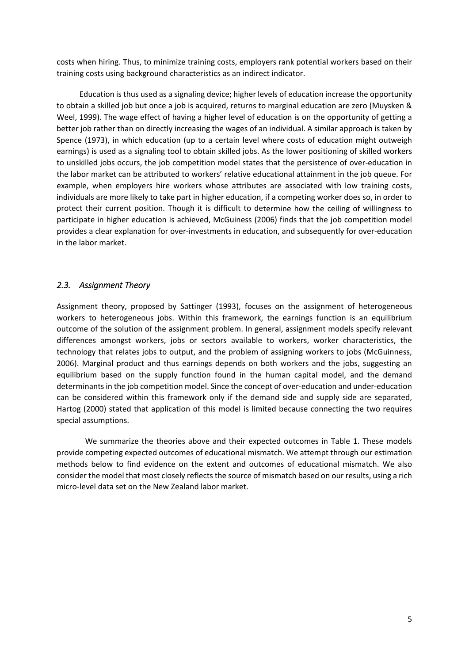costs when hiring. Thus, to minimize training costs, employers rank potential workers based on their training costs using background characteristics as an indirect indicator.

Education is thus used as a signaling device; higher levels of education increase the opportunity to obtain a skilled job but once a job is acquired, returns to marginal education are zero (Muysken & Weel, 1999). The wage effect of having a higher level of education is on the opportunity of getting a better job rather than on directly increasing the wages of an individual. A similar approach is taken by Spence (1973), in which education (up to a certain level where costs of education might outweigh earnings) is used as a signaling tool to obtain skilled jobs. As the lower positioning of skilled workers to unskilled jobs occurs, the job competition model states that the persistence of over‐education in the labor market can be attributed to workers' relative educational attainment in the job queue. For example, when employers hire workers whose attributes are associated with low training costs, individuals are more likely to take part in higher education, if a competing worker does so, in order to protect their current position. Though it is difficult to determine how the ceiling of willingness to participate in higher education is achieved, McGuiness (2006) finds that the job competition model provides a clear explanation for over‐investments in education, and subsequently for over‐education in the labor market.

#### *2.3. Assignment Theory*

Assignment theory, proposed by Sattinger (1993), focuses on the assignment of heterogeneous workers to heterogeneous jobs. Within this framework, the earnings function is an equilibrium outcome of the solution of the assignment problem. In general, assignment models specify relevant differences amongst workers, jobs or sectors available to workers, worker characteristics, the technology that relates jobs to output, and the problem of assigning workers to jobs (McGuinness, 2006). Marginal product and thus earnings depends on both workers and the jobs, suggesting an equilibrium based on the supply function found in the human capital model, and the demand determinants in the job competition model. Since the concept of over-education and under-education can be considered within this framework only if the demand side and supply side are separated, Hartog (2000) stated that application of this model is limited because connecting the two requires special assumptions.

We summarize the theories above and their expected outcomes in Table 1. These models provide competing expected outcomes of educational mismatch. We attempt through our estimation methods below to find evidence on the extent and outcomes of educational mismatch. We also consider the model that most closely reflectsthe source of mismatch based on our results, using a rich micro‐level data set on the New Zealand labor market.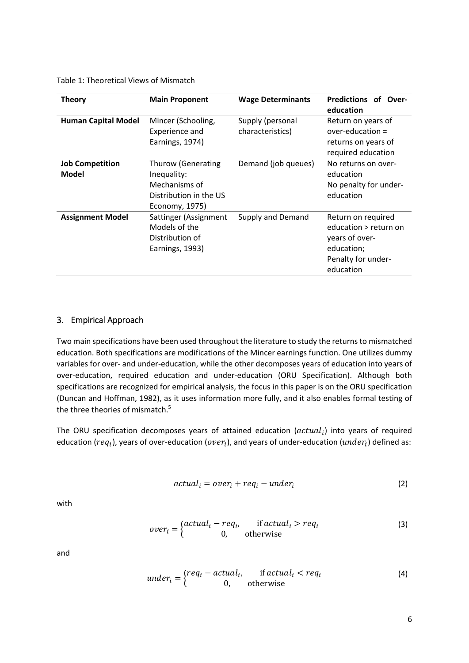Table 1: Theoretical Views of Mismatch

| Theory                          | <b>Main Proponent</b>                                                                                 | <b>Wage Determinants</b>             | <b>Predictions of Over-</b><br>education                                                                       |
|---------------------------------|-------------------------------------------------------------------------------------------------------|--------------------------------------|----------------------------------------------------------------------------------------------------------------|
| <b>Human Capital Model</b>      | Mincer (Schooling,<br>Experience and<br>Earnings, 1974)                                               | Supply (personal<br>characteristics) | Return on years of<br>over-education $=$<br>returns on years of<br>required education                          |
| <b>Job Competition</b><br>Model | <b>Thurow (Generating</b><br>Inequality:<br>Mechanisms of<br>Distribution in the US<br>Economy, 1975) | Demand (job queues)                  | No returns on over-<br>education<br>No penalty for under-<br>education                                         |
| <b>Assignment Model</b>         | Sattinger (Assignment<br>Models of the<br>Distribution of<br>Earnings, 1993)                          | Supply and Demand                    | Return on required<br>education > return on<br>years of over-<br>education;<br>Penalty for under-<br>education |

#### 3. Empirical Approach

Two main specifications have been used throughout the literature to study the returnsto mismatched education. Both specifications are modifications of the Mincer earnings function. One utilizes dummy variables for over‐ and under‐education, while the other decomposes years of education into years of over-education, required education and under-education (ORU Specification). Although both specifications are recognized for empirical analysis, the focus in this paper is on the ORU specification (Duncan and Hoffman, 1982), as it uses information more fully, and it also enables formal testing of the three theories of mismatch.<sup>5</sup>

The ORU specification decomposes years of attained education ( $actual_i$ ) into years of required education ( $req_i$ ), years of over-education ( $over_i$ ), and years of under-education ( $under_i$ ) defined as:

$$
actual_i = over_i + req_i - under_i \qquad (2)
$$

with

$$
over_i = \begin{cases} actual_i - req_i, & \text{if actual}_i > req_i \\ 0, & \text{otherwise} \end{cases}
$$
 (3)

and

$$
under_i = \begin{cases} req_i - actual_i, & \text{if actual}_i < req_i \\ 0, & \text{otherwise} \end{cases} \tag{4}
$$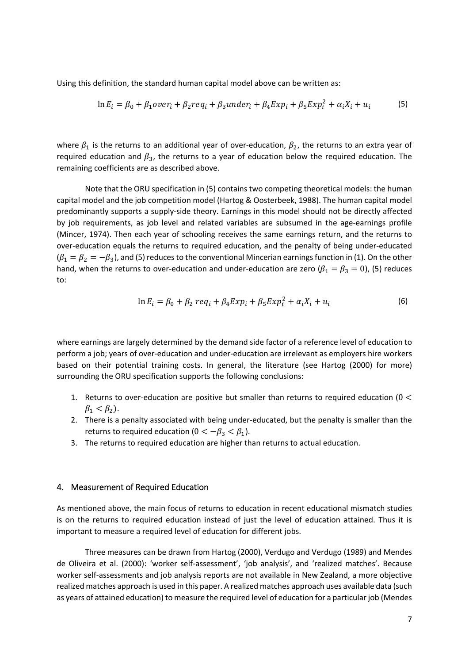Using this definition, the standard human capital model above can be written as:

$$
\ln E_i = \beta_0 + \beta_1 over_i + \beta_2 req_i + \beta_3 under_i + \beta_4 Exp_i + \beta_5 Exp_i^2 + \alpha_i X_i + u_i \tag{5}
$$

where  $\beta_1$  is the returns to an additional year of over-education,  $\beta_2$ , the returns to an extra year of required education and  $\beta_3$ , the returns to a year of education below the required education. The remaining coefficients are as described above.

Note that the ORU specification in (5) contains two competing theoretical models: the human capital model and the job competition model (Hartog & Oosterbeek, 1988). The human capital model predominantly supports a supply‐side theory. Earnings in this model should not be directly affected by job requirements, as job level and related variables are subsumed in the age-earnings profile (Mincer, 1974). Then each year of schooling receives the same earnings return, and the returns to over‐education equals the returns to required education, and the penalty of being under‐educated  $(\beta_1 = \beta_2 = -\beta_3)$ , and (5) reduces to the conventional Mincerian earnings function in (1). On the other hand, when the returns to over-education and under-education are zero ( $\beta_1 = \beta_3 = 0$ ), (5) reduces to:

$$
\ln E_i = \beta_0 + \beta_2 \, r e q_i + \beta_4 E x p_i + \beta_5 E x p_i^2 + \alpha_i X_i + u_i \tag{6}
$$

where earnings are largely determined by the demand side factor of a reference level of education to perform a job; years of over‐education and under‐education are irrelevant as employers hire workers based on their potential training costs. In general, the literature (see Hartog (2000) for more) surrounding the ORU specification supports the following conclusions:

- 1. Returns to over-education are positive but smaller than returns to required education ( $0 <$  $\beta_1 < \beta_2$ ).
- 2. There is a penalty associated with being under-educated, but the penalty is smaller than the returns to required education ( $0 < -\beta_3 < \beta_1$ ).
- 3. The returns to required education are higher than returns to actual education.

#### 4. Measurement of Required Education

As mentioned above, the main focus of returns to education in recent educational mismatch studies is on the returns to required education instead of just the level of education attained. Thus it is important to measure a required level of education for different jobs.

Three measures can be drawn from Hartog (2000), Verdugo and Verdugo (1989) and Mendes de Oliveira et al. (2000): 'worker self‐assessment', 'job analysis', and 'realized matches'. Because worker self-assessments and job analysis reports are not available in New Zealand, a more objective realized matches approach is used in this paper. A realized matches approach uses available data (such as years of attained education) to measure the required level of education for a particular job (Mendes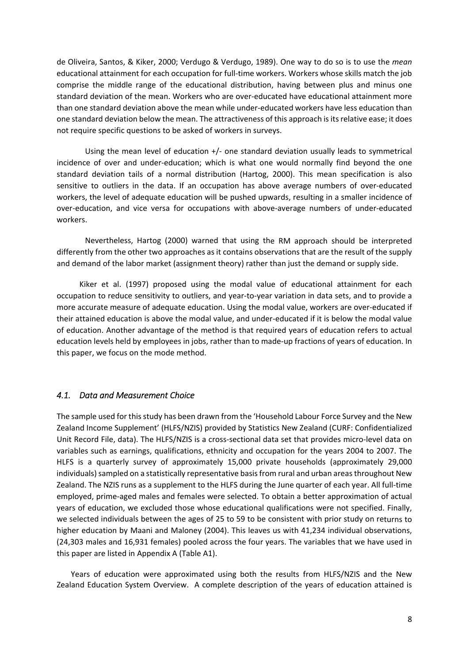de Oliveira, Santos, & Kiker, 2000; Verdugo & Verdugo, 1989). One way to do so is to use the *mean* educational attainment for each occupation for full-time workers. Workers whose skills match the job comprise the middle range of the educational distribution, having between plus and minus one standard deviation of the mean. Workers who are over‐educated have educational attainment more than one standard deviation above the mean while under‐educated workers have less education than one standard deviation below the mean. The attractiveness of this approach isitsrelative ease; it does not require specific questions to be asked of workers in surveys.

Using the mean level of education +/‐ one standard deviation usually leads to symmetrical incidence of over and under‐education; which is what one would normally find beyond the one standard deviation tails of a normal distribution (Hartog, 2000). This mean specification is also sensitive to outliers in the data. If an occupation has above average numbers of over-educated workers, the level of adequate education will be pushed upwards, resulting in a smaller incidence of over‐education, and vice versa for occupations with above‐average numbers of under‐educated workers.

Nevertheless, Hartog (2000) warned that using the RM approach should be interpreted differently from the other two approaches as it contains observations that are the result of the supply and demand of the labor market (assignment theory) rather than just the demand or supply side.

Kiker et al. (1997) proposed using the modal value of educational attainment for each occupation to reduce sensitivity to outliers, and year‐to‐year variation in data sets, and to provide a more accurate measure of adequate education. Using the modal value, workers are over‐educated if their attained education is above the modal value, and under‐educated if it is below the modal value of education. Another advantage of the method is that required years of education refers to actual education levels held by employees in jobs, rather than to made‐up fractions of years of education. In this paper, we focus on the mode method.

#### *4.1. Data and Measurement Choice*

The sample used for thisstudy has been drawn from the 'Household Labour Force Survey and the New Zealand Income Supplement' (HLFS/NZIS) provided by Statistics New Zealand (CURF: Confidentialized Unit Record File, data). The HLFS/NZIS is a cross‐sectional data set that provides micro‐level data on variables such as earnings, qualifications, ethnicity and occupation for the years 2004 to 2007. The HLFS is a quarterly survey of approximately 15,000 private households (approximately 29,000 individuals) sampled on a statistically representative basis from rural and urban areas throughout New Zealand. The NZIS runs as a supplement to the HLFS during the June quarter of each year. All full‐time employed, prime‐aged males and females were selected. To obtain a better approximation of actual years of education, we excluded those whose educational qualifications were not specified. Finally, we selected individuals between the ages of 25 to 59 to be consistent with prior study on returns to higher education by Maani and Maloney (2004). This leaves us with 41,234 individual observations, (24,303 males and 16,931 females) pooled across the four years. The variables that we have used in this paper are listed in Appendix A (Table A1).

Years of education were approximated using both the results from HLFS/NZIS and the New Zealand Education System Overview. A complete description of the years of education attained is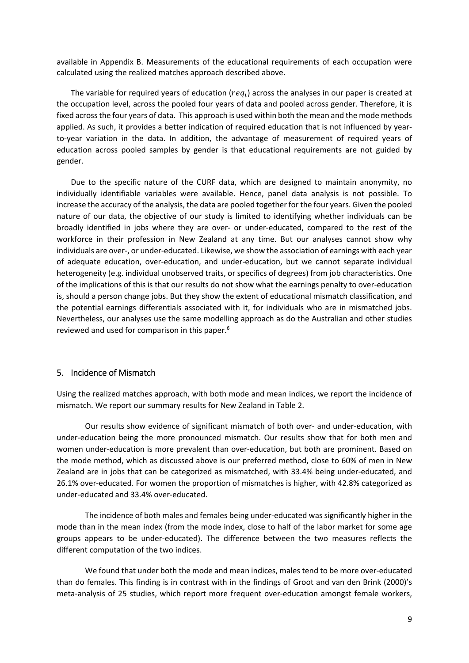available in Appendix B. Measurements of the educational requirements of each occupation were calculated using the realized matches approach described above.

The variable for required years of education ( $req<sub>i</sub>$ ) across the analyses in our paper is created at the occupation level, across the pooled four years of data and pooled across gender. Therefore, it is fixed acrossthe four years of data. This approach is used within both the mean and the mode methods applied. As such, it provides a better indication of required education that is not influenced by yearto-year variation in the data. In addition, the advantage of measurement of required years of education across pooled samples by gender is that educational requirements are not guided by gender.

Due to the specific nature of the CURF data, which are designed to maintain anonymity, no individually identifiable variables were available. Hence, panel data analysis is not possible. To increase the accuracy of the analysis, the data are pooled together for the four years. Given the pooled nature of our data, the objective of our study is limited to identifying whether individuals can be broadly identified in jobs where they are over‐ or under‐educated, compared to the rest of the workforce in their profession in New Zealand at any time. But our analyses cannot show why individuals are over-, or under-educated. Likewise, we show the association of earnings with each year of adequate education, over‐education, and under‐education, but we cannot separate individual heterogeneity (e.g. individual unobserved traits, or specifics of degrees) from job characteristics. One of the implications of this is that our results do not show what the earnings penalty to over‐education is, should a person change jobs. But they show the extent of educational mismatch classification, and the potential earnings differentials associated with it, for individuals who are in mismatched jobs. Nevertheless, our analyses use the same modelling approach as do the Australian and other studies reviewed and used for comparison in this paper.6

#### 5. Incidence of Mismatch

Using the realized matches approach, with both mode and mean indices, we report the incidence of mismatch. We report our summary results for New Zealand in Table 2.

Our results show evidence of significant mismatch of both over‐ and under‐education, with under‐education being the more pronounced mismatch. Our results show that for both men and women under‐education is more prevalent than over‐education, but both are prominent. Based on the mode method, which as discussed above is our preferred method, close to 60% of men in New Zealand are in jobs that can be categorized as mismatched, with 33.4% being under‐educated, and 26.1% over-educated. For women the proportion of mismatches is higher, with 42.8% categorized as under‐educated and 33.4% over‐educated.

The incidence of both males and females being under‐educated was significantly higher in the mode than in the mean index (from the mode index, close to half of the labor market for some age groups appears to be under‐educated). The difference between the two measures reflects the different computation of the two indices.

We found that under both the mode and mean indices, males tend to be more over‐educated than do females. This finding is in contrast with in the findings of Groot and van den Brink (2000)'s meta‐analysis of 25 studies, which report more frequent over‐education amongst female workers,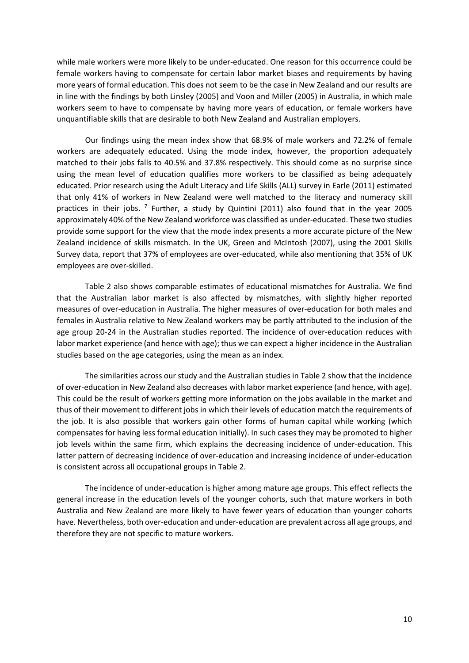while male workers were more likely to be under‐educated. One reason for this occurrence could be female workers having to compensate for certain labor market biases and requirements by having more years of formal education. This does not seem to be the case in New Zealand and our results are in line with the findings by both Linsley (2005) and Voon and Miller (2005) in Australia, in which male workers seem to have to compensate by having more years of education, or female workers have unquantifiable skills that are desirable to both New Zealand and Australian employers.

Our findings using the mean index show that 68.9% of male workers and 72.2% of female workers are adequately educated. Using the mode index, however, the proportion adequately matched to their jobs falls to 40.5% and 37.8% respectively. This should come as no surprise since using the mean level of education qualifies more workers to be classified as being adequately educated. Prior research using the Adult Literacy and Life Skills (ALL) survey in Earle (2011) estimated that only 41% of workers in New Zealand were well matched to the literacy and numeracy skill practices in their jobs. <sup>7</sup> Further, a study by Quintini (2011) also found that in the year 2005 approximately 40% of the New Zealand workforce was classified as under‐educated. These two studies provide some support for the view that the mode index presents a more accurate picture of the New Zealand incidence of skills mismatch. In the UK, Green and McIntosh (2007), using the 2001 Skills Survey data, report that 37% of employees are over‐educated, while also mentioning that 35% of UK employees are over‐skilled.

Table 2 also shows comparable estimates of educational mismatches for Australia. We find that the Australian labor market is also affected by mismatches, with slightly higher reported measures of over‐education in Australia. The higher measures of over‐education for both males and females in Australia relative to New Zealand workers may be partly attributed to the inclusion of the age group 20-24 in the Australian studies reported. The incidence of over-education reduces with labor market experience (and hence with age); thus we can expect a higher incidence in the Australian studies based on the age categories, using the mean as an index.

The similarities across our study and the Australian studies in Table 2 show that the incidence of over‐education in New Zealand also decreases with labor market experience (and hence, with age). This could be the result of workers getting more information on the jobs available in the market and thus of their movement to different jobs in which their levels of education match the requirements of the job. It is also possible that workers gain other forms of human capital while working (which compensates for having less formal education initially). In such cases they may be promoted to higher job levels within the same firm, which explains the decreasing incidence of under-education. This latter pattern of decreasing incidence of over‐education and increasing incidence of under‐education is consistent across all occupational groups in Table 2.

The incidence of under‐education is higher among mature age groups. This effect reflects the general increase in the education levels of the younger cohorts, such that mature workers in both Australia and New Zealand are more likely to have fewer years of education than younger cohorts have. Nevertheless, both over-education and under-education are prevalent across all age groups, and therefore they are not specific to mature workers.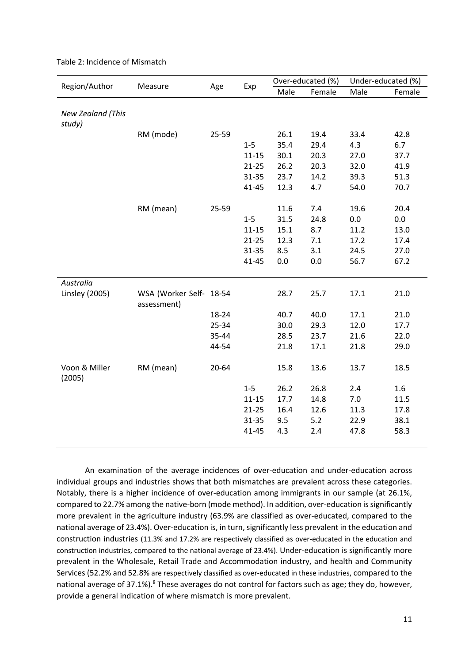| Region/Author               | Measure                                |       |           |      | Over-educated (%) | Under-educated (%) |        |
|-----------------------------|----------------------------------------|-------|-----------|------|-------------------|--------------------|--------|
|                             |                                        | Age   | Exp       | Male | Female            | Male               | Female |
| New Zealand (This<br>study) |                                        |       |           |      |                   |                    |        |
|                             | RM (mode)                              | 25-59 |           | 26.1 | 19.4              | 33.4               | 42.8   |
|                             |                                        |       | $1 - 5$   | 35.4 | 29.4              | 4.3                | 6.7    |
|                             |                                        |       | $11 - 15$ | 30.1 | 20.3              | 27.0               | 37.7   |
|                             |                                        |       | $21 - 25$ | 26.2 | 20.3              | 32.0               | 41.9   |
|                             |                                        |       | $31 - 35$ | 23.7 | 14.2              | 39.3               | 51.3   |
|                             |                                        |       | $41 - 45$ | 12.3 | 4.7               | 54.0               | 70.7   |
|                             |                                        |       |           |      |                   |                    |        |
|                             | RM (mean)                              | 25-59 |           | 11.6 | 7.4               | 19.6               | 20.4   |
|                             |                                        |       | $1-5$     | 31.5 | 24.8              | 0.0                | 0.0    |
|                             |                                        |       | $11 - 15$ | 15.1 | 8.7               | 11.2               | 13.0   |
|                             |                                        |       | $21 - 25$ | 12.3 | 7.1               | 17.2               | 17.4   |
|                             |                                        |       | $31 - 35$ | 8.5  | 3.1               | 24.5               | 27.0   |
|                             |                                        |       | $41 - 45$ | 0.0  | 0.0               | 56.7               | 67.2   |
| Australia                   |                                        |       |           |      |                   |                    |        |
| <b>Linsley (2005)</b>       | WSA (Worker Self- 18-54<br>assessment) |       |           | 28.7 | 25.7              | 17.1               | 21.0   |
|                             |                                        | 18-24 |           | 40.7 | 40.0              | 17.1               | 21.0   |
|                             |                                        | 25-34 |           | 30.0 | 29.3              | 12.0               | 17.7   |
|                             |                                        | 35-44 |           | 28.5 | 23.7              | 21.6               | 22.0   |
|                             |                                        | 44-54 |           | 21.8 | 17.1              | 21.8               | 29.0   |
| Voon & Miller<br>(2005)     | RM (mean)                              | 20-64 |           | 15.8 | 13.6              | 13.7               | 18.5   |
|                             |                                        |       | $1 - 5$   | 26.2 | 26.8              | 2.4                | 1.6    |
|                             |                                        |       | $11 - 15$ | 17.7 | 14.8              | 7.0                | 11.5   |
|                             |                                        |       | $21 - 25$ | 16.4 | 12.6              | 11.3               | 17.8   |
|                             |                                        |       | 31-35     | 9.5  | 5.2               | 22.9               | 38.1   |
|                             |                                        |       | 41-45     | 4.3  | 2.4               | 47.8               | 58.3   |
|                             |                                        |       |           |      |                   |                    |        |

Table 2: Incidence of Mismatch

An examination of the average incidences of over‐education and under‐education across individual groups and industries shows that both mismatches are prevalent across these categories. Notably, there is a higher incidence of over‐education among immigrants in our sample (at 26.1%, compared to 22.7% among the native-born (mode method). In addition, over-education is significantly more prevalent in the agriculture industry (63.9% are classified as over‐educated, compared to the national average of 23.4%). Over‐education is, in turn, significantly less prevalent in the education and construction industries (11.3% and 17.2% are respectively classified as over-educated in the education and construction industries, compared to the national average of 23.4%). Under-education is significantly more prevalent in the Wholesale, Retail Trade and Accommodation industry, and health and Community Services (52.2% and 52.8% are respectively classified as over‐educated in these industries, compared to the national average of 37.1%).<sup>8</sup> These averages do not control for factors such as age; they do, however, provide a general indication of where mismatch is more prevalent.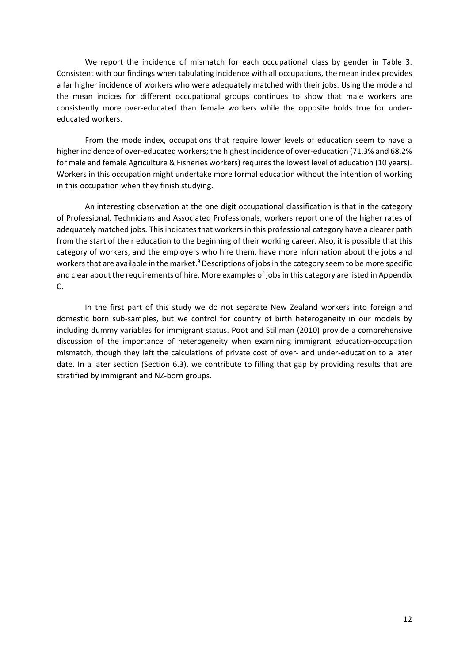We report the incidence of mismatch for each occupational class by gender in Table 3. Consistent with our findings when tabulating incidence with all occupations, the mean index provides a far higher incidence of workers who were adequately matched with their jobs. Using the mode and the mean indices for different occupational groups continues to show that male workers are consistently more over‐educated than female workers while the opposite holds true for under‐ educated workers.

From the mode index, occupations that require lower levels of education seem to have a higher incidence of over-educated workers; the highest incidence of over-education (71.3% and 68.2% for male and female Agriculture & Fisheries workers) requires the lowest level of education (10 years). Workers in this occupation might undertake more formal education without the intention of working in this occupation when they finish studying.

An interesting observation at the one digit occupational classification is that in the category of Professional, Technicians and Associated Professionals, workers report one of the higher rates of adequately matched jobs. This indicates that workers in this professional category have a clearer path from the start of their education to the beginning of their working career. Also, it is possible that this category of workers, and the employers who hire them, have more information about the jobs and workers that are available in the market.<sup>9</sup> Descriptions of jobs in the category seem to be more specific and clear about the requirements of hire. More examples of jobsin this category are listed in Appendix C.

In the first part of this study we do not separate New Zealand workers into foreign and domestic born sub‐samples, but we control for country of birth heterogeneity in our models by including dummy variables for immigrant status. Poot and Stillman (2010) provide a comprehensive discussion of the importance of heterogeneity when examining immigrant education‐occupation mismatch, though they left the calculations of private cost of over‐ and under‐education to a later date. In a later section (Section 6.3), we contribute to filling that gap by providing results that are stratified by immigrant and NZ‐born groups.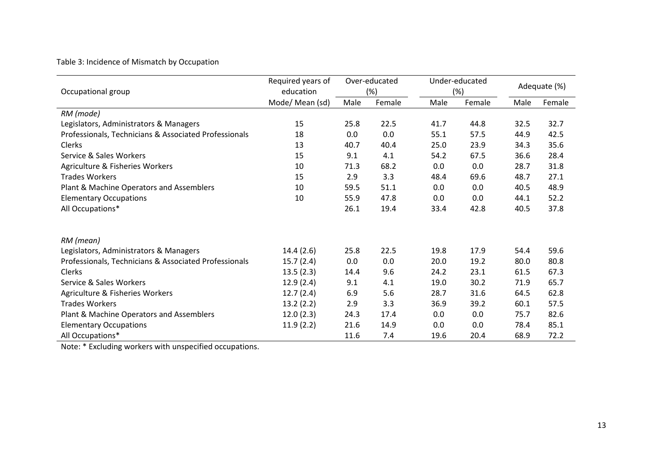#### Table 3: Incidence of Mismatch by Occupation

| Occupational group                                    | Required years of<br>education | Over-educated<br>(%) |        | Under-educated<br>$(\%)$ |        | Adequate (%) |        |
|-------------------------------------------------------|--------------------------------|----------------------|--------|--------------------------|--------|--------------|--------|
|                                                       | Mode/ Mean (sd)                | Male                 | Female | Male                     | Female | Male         | Female |
| RM (mode)                                             |                                |                      |        |                          |        |              |        |
| Legislators, Administrators & Managers                | 15                             | 25.8                 | 22.5   | 41.7                     | 44.8   | 32.5         | 32.7   |
| Professionals, Technicians & Associated Professionals | 18                             | 0.0                  | 0.0    | 55.1                     | 57.5   | 44.9         | 42.5   |
| Clerks                                                | 13                             | 40.7                 | 40.4   | 25.0                     | 23.9   | 34.3         | 35.6   |
| Service & Sales Workers                               | 15                             | 9.1                  | 4.1    | 54.2                     | 67.5   | 36.6         | 28.4   |
| Agriculture & Fisheries Workers                       | 10                             | 71.3                 | 68.2   | 0.0                      | 0.0    | 28.7         | 31.8   |
| <b>Trades Workers</b>                                 | 15                             | 2.9                  | 3.3    | 48.4                     | 69.6   | 48.7         | 27.1   |
| Plant & Machine Operators and Assemblers              | 10                             | 59.5                 | 51.1   | 0.0                      | 0.0    | 40.5         | 48.9   |
| <b>Elementary Occupations</b>                         | 10                             | 55.9                 | 47.8   | 0.0                      | 0.0    | 44.1         | 52.2   |
| All Occupations*                                      |                                | 26.1                 | 19.4   | 33.4                     | 42.8   | 40.5         | 37.8   |
| RM (mean)                                             |                                |                      |        |                          |        |              |        |
| Legislators, Administrators & Managers                | 14.4(2.6)                      | 25.8                 | 22.5   | 19.8                     | 17.9   | 54.4         | 59.6   |
| Professionals, Technicians & Associated Professionals | 15.7(2.4)                      | 0.0                  | 0.0    | 20.0                     | 19.2   | 80.0         | 80.8   |
| Clerks                                                | 13.5(2.3)                      | 14.4                 | 9.6    | 24.2                     | 23.1   | 61.5         | 67.3   |
| Service & Sales Workers                               | 12.9(2.4)                      | 9.1                  | 4.1    | 19.0                     | 30.2   | 71.9         | 65.7   |
| Agriculture & Fisheries Workers                       | 12.7(2.4)                      | 6.9                  | 5.6    | 28.7                     | 31.6   | 64.5         | 62.8   |
| <b>Trades Workers</b>                                 | 13.2(2.2)                      | 2.9                  | 3.3    | 36.9                     | 39.2   | 60.1         | 57.5   |
| Plant & Machine Operators and Assemblers              | 12.0(2.3)                      | 24.3                 | 17.4   | 0.0                      | 0.0    | 75.7         | 82.6   |
| <b>Elementary Occupations</b>                         | 11.9(2.2)                      | 21.6                 | 14.9   | 0.0                      | 0.0    | 78.4         | 85.1   |
| All Occupations*                                      |                                | 11.6                 | 7.4    | 19.6                     | 20.4   | 68.9         | 72.2   |

Note: \* Excluding workers with unspecified occupations.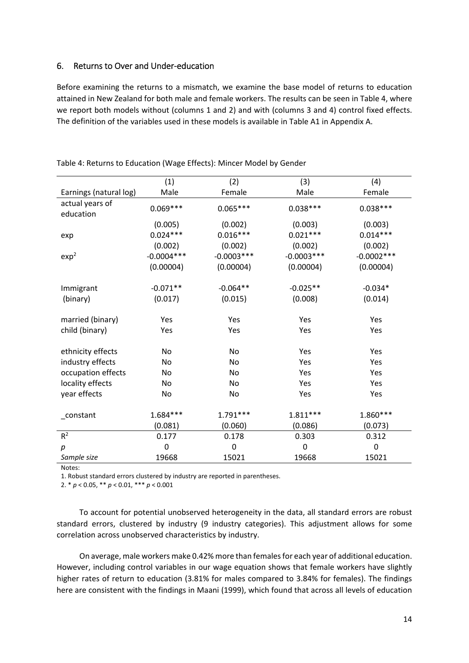#### 6. Returns to Over and Under‐education

Before examining the returns to a mismatch, we examine the base model of returns to education attained in New Zealand for both male and female workers. The results can be seen in Table 4, where we report both models without (columns 1 and 2) and with (columns 3 and 4) control fixed effects. The definition of the variables used in these models is available in Table A1 in Appendix A.

|                                       | (1)          | (2)          | (3)          | (4)          |
|---------------------------------------|--------------|--------------|--------------|--------------|
| Earnings (natural log)                | Male         | Female       | Male         | Female       |
| actual years of<br>education          | $0.069***$   | $0.065***$   | $0.038***$   | $0.038***$   |
|                                       | (0.005)      | (0.002)      | (0.003)      | (0.003)      |
| exp                                   | $0.024***$   | $0.016***$   | $0.021***$   | $0.014***$   |
|                                       | (0.002)      | (0.002)      | (0.002)      | (0.002)      |
| exp <sup>2</sup>                      | $-0.0004***$ | $-0.0003***$ | $-0.0003***$ | $-0.0002***$ |
|                                       | (0.00004)    | (0.00004)    | (0.00004)    | (0.00004)    |
| Immigrant                             | $-0.071**$   | $-0.064**$   | $-0.025**$   | $-0.034*$    |
| (binary)                              | (0.017)      | (0.015)      | (0.008)      | (0.014)      |
| married (binary)                      | Yes          | Yes          | Yes          | Yes          |
| child (binary)                        | Yes          | Yes          | Yes          | <b>Yes</b>   |
|                                       | No           | No           | Yes          | <b>Yes</b>   |
| ethnicity effects<br>industry effects | No           | No           | Yes          | Yes          |
| occupation effects                    | No           | No           | Yes          | Yes          |
| locality effects                      | No           | No           | Yes          | Yes          |
| year effects                          | No           | No           | Yes          | Yes          |
|                                       |              |              |              |              |
| _constant                             | $1.684***$   | $1.791***$   | $1.811***$   | $1.860***$   |
|                                       | (0.081)      | (0.060)      | (0.086)      | (0.073)      |
| $R^2$                                 | 0.177        | 0.178        | 0.303        | 0.312        |
| р                                     | $\mathbf 0$  | $\mathbf 0$  | $\mathbf 0$  | $\mathbf 0$  |
| Sample size                           | 19668        | 15021        | 19668        | 15021        |

Table 4: Returns to Education (Wage Effects): Mincer Model by Gender

Notes:

1. Robust standard errors clustered by industry are reported in parentheses.

2. \* *p* < 0.05, \*\* *p* < 0.01, \*\*\* *p* < 0.001

To account for potential unobserved heterogeneity in the data, all standard errors are robust standard errors, clustered by industry (9 industry categories). This adjustment allows for some correlation across unobserved characteristics by industry.

On average, male workers make 0.42% more than femalesfor each year of additional education. However, including control variables in our wage equation shows that female workers have slightly higher rates of return to education (3.81% for males compared to 3.84% for females). The findings here are consistent with the findings in Maani (1999), which found that across all levels of education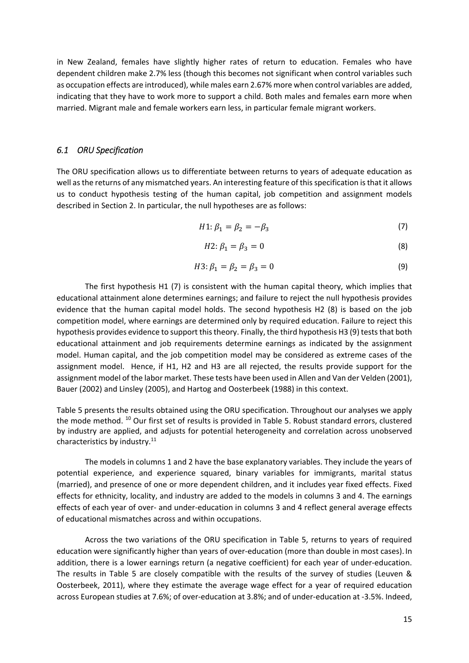in New Zealand, females have slightly higher rates of return to education. Females who have dependent children make 2.7% less (though this becomes not significant when control variables such as occupation effects are introduced), while males earn 2.67% more when control variables are added, indicating that they have to work more to support a child. Both males and females earn more when married. Migrant male and female workers earn less, in particular female migrant workers.

#### *6.1 ORU Specification*

The ORU specification allows us to differentiate between returns to years of adequate education as well as the returns of any mismatched years. An interesting feature of this specification is that it allows us to conduct hypothesis testing of the human capital, job competition and assignment models described in Section 2. In particular, the null hypotheses are as follows:

$$
H1: \beta_1 = \beta_2 = -\beta_3 \tag{7}
$$

$$
H2: \beta_1 = \beta_3 = 0 \tag{8}
$$

$$
H3: \beta_1 = \beta_2 = \beta_3 = 0 \tag{9}
$$

The first hypothesis H1 (7) is consistent with the human capital theory, which implies that educational attainment alone determines earnings; and failure to reject the null hypothesis provides evidence that the human capital model holds. The second hypothesis H2 (8) is based on the job competition model, where earnings are determined only by required education. Failure to reject this hypothesis provides evidence to support thistheory. Finally, the third hypothesis H3 (9) teststhat both educational attainment and job requirements determine earnings as indicated by the assignment model. Human capital, and the job competition model may be considered as extreme cases of the assignment model. Hence, if H1, H2 and H3 are all rejected, the results provide support for the assignment model of the labor market. These tests have been used in Allen and Van der Velden (2001), Bauer (2002) and Linsley (2005), and Hartog and Oosterbeek (1988) in this context.

Table 5 presents the results obtained using the ORU specification. Throughout our analyses we apply the mode method. <sup>10</sup> Our first set of results is provided in Table 5. Robust standard errors, clustered by industry are applied, and adjusts for potential heterogeneity and correlation across unobserved characteristics by industry.<sup>11</sup>

The models in columns 1 and 2 have the base explanatory variables. They include the years of potential experience, and experience squared, binary variables for immigrants, marital status (married), and presence of one or more dependent children, and it includes year fixed effects. Fixed effects for ethnicity, locality, and industry are added to the models in columns 3 and 4. The earnings effects of each year of over‐ and under‐education in columns 3 and 4 reflect general average effects of educational mismatches across and within occupations.

Across the two variations of the ORU specification in Table 5, returns to years of required education were significantly higher than years of over‐education (more than double in most cases). In addition, there is a lower earnings return (a negative coefficient) for each year of under‐education. The results in Table 5 are closely compatible with the results of the survey of studies (Leuven & Oosterbeek, 2011), where they estimate the average wage effect for a year of required education across European studies at 7.6%; of over‐education at 3.8%; and of under‐education at ‐3.5%. Indeed,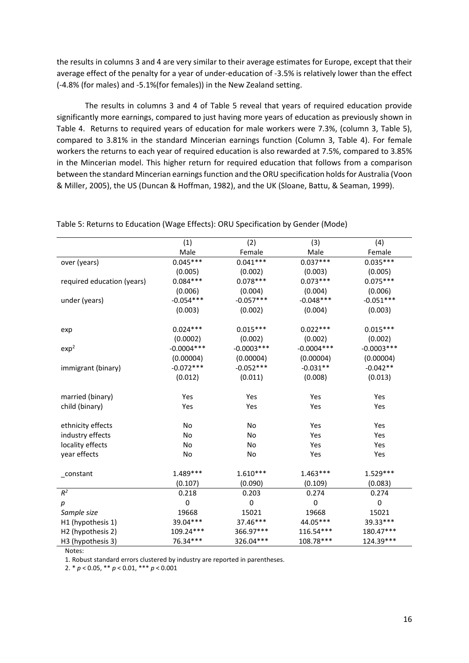the results in columns 3 and 4 are very similar to their average estimates for Europe, except that their average effect of the penalty for a year of under‐education of ‐3.5% is relatively lower than the effect (‐4.8% (for males) and ‐5.1%(for females)) in the New Zealand setting.

The results in columns 3 and 4 of Table 5 reveal that years of required education provide significantly more earnings, compared to just having more years of education as previously shown in Table 4. Returns to required years of education for male workers were 7.3%, (column 3, Table 5), compared to 3.81% in the standard Mincerian earnings function (Column 3, Table 4). For female workers the returns to each year of required education is also rewarded at 7.5%, compared to 3.85% in the Mincerian model. This higher return for required education that follows from a comparison between the standard Mincerian earnings function and the ORU specification holds for Australia (Voon & Miller, 2005), the US (Duncan & Hoffman, 1982), and the UK (Sloane, Battu, & Seaman, 1999).

|                            | (1)          | (2)          | (3)          | (4)           |
|----------------------------|--------------|--------------|--------------|---------------|
|                            | Male         | Female       | Male         | Female        |
| over (years)               | $0.045***$   | $0.041***$   | $0.037***$   | $0.035***$    |
|                            | (0.005)      | (0.002)      | (0.003)      | (0.005)       |
| required education (years) | $0.084***$   | $0.078***$   | $0.073***$   | $0.075***$    |
|                            | (0.006)      | (0.004)      | (0.004)      | (0.006)       |
| under (years)              | $-0.054***$  | $-0.057***$  | $-0.048***$  | $-0.051***$   |
|                            | (0.003)      | (0.002)      | (0.004)      | (0.003)       |
| exp                        | $0.024***$   | $0.015***$   | $0.022***$   | $0.015***$    |
|                            | (0.0002)     | (0.002)      | (0.002)      | (0.002)       |
| exp <sup>2</sup>           | $-0.0004***$ | $-0.0003***$ | $-0.0004***$ | $-0.0003$ *** |
|                            | (0.00004)    | (0.00004)    | (0.00004)    | (0.00004)     |
| immigrant (binary)         | $-0.072***$  | $-0.052***$  | $-0.031**$   | $-0.042**$    |
|                            | (0.012)      | (0.011)      | (0.008)      | (0.013)       |
| married (binary)           | Yes          | Yes          | Yes          | Yes           |
| child (binary)             | Yes          | Yes          | Yes          | Yes           |
| ethnicity effects          | No           | No           | Yes          | Yes           |
| industry effects           | No           | No           | Yes          | Yes           |
| locality effects           | No           | No           | Yes          | Yes           |
| year effects               | No           | No           | Yes          | Yes           |
| _constant                  | 1.489***     | $1.610***$   | $1.463***$   | 1.529 ***     |
|                            | (0.107)      | (0.090)      | (0.109)      | (0.083)       |
| $R^2$                      | 0.218        | 0.203        | 0.274        | 0.274         |
| р                          | 0            | $\mathbf 0$  | $\mathbf 0$  | $\mathbf 0$   |
| Sample size                | 19668        | 15021        | 19668        | 15021         |
| H1 (hypothesis 1)          | 39.04***     | 37.46***     | 44.05***     | 39.33***      |
| H2 (hypothesis 2)          | 109.24***    | 366.97***    | 116.54***    | 180.47***     |
| H3 (hypothesis 3)          | 76.34***     | 326.04***    | 108.78***    | 124.39***     |

Table 5: Returns to Education (Wage Effects): ORU Specification by Gender (Mode)

Notes:

1. Robust standard errors clustered by industry are reported in parentheses.

2. \* *p* < 0.05, \*\* *p* < 0.01, \*\*\* *p* < 0.001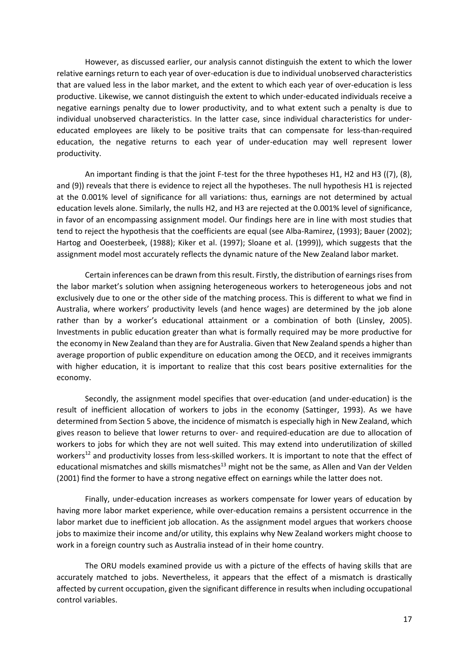However, as discussed earlier, our analysis cannot distinguish the extent to which the lower relative earnings return to each year of over‐education is due to individual unobserved characteristics that are valued less in the labor market, and the extent to which each year of over‐education is less productive. Likewise, we cannot distinguish the extent to which under‐educated individuals receive a negative earnings penalty due to lower productivity, and to what extent such a penalty is due to individual unobserved characteristics. In the latter case, since individual characteristics for under‐ educated employees are likely to be positive traits that can compensate for less-than-required education, the negative returns to each year of under‐education may well represent lower productivity.

An important finding is that the joint F-test for the three hypotheses H1, H2 and H3 ((7), (8), and (9)) reveals that there is evidence to reject all the hypotheses. The null hypothesis H1 is rejected at the 0.001% level of significance for all variations: thus, earnings are not determined by actual education levels alone. Similarly, the nulls H2, and H3 are rejected at the 0.001% level of significance, in favor of an encompassing assignment model. Our findings here are in line with most studies that tend to reject the hypothesis that the coefficients are equal (see Alba-Ramirez, (1993); Bauer (2002); Hartog and Ooesterbeek, (1988); Kiker et al. (1997); Sloane et al. (1999)), which suggests that the assignment model most accurately reflects the dynamic nature of the New Zealand labor market.

Certain inferences can be drawn from this result. Firstly, the distribution of earnings rises from the labor market's solution when assigning heterogeneous workers to heterogeneous jobs and not exclusively due to one or the other side of the matching process. This is different to what we find in Australia, where workers' productivity levels (and hence wages) are determined by the job alone rather than by a worker's educational attainment or a combination of both (Linsley, 2005). Investments in public education greater than what is formally required may be more productive for the economy in New Zealand than they are for Australia. Given that New Zealand spends a higher than average proportion of public expenditure on education among the OECD, and it receives immigrants with higher education, it is important to realize that this cost bears positive externalities for the economy.

Secondly, the assignment model specifies that over‐education (and under‐education) is the result of inefficient allocation of workers to jobs in the economy (Sattinger, 1993). As we have determined from Section 5 above, the incidence of mismatch is especially high in New Zealand, which gives reason to believe that lower returns to over‐ and required‐education are due to allocation of workers to jobs for which they are not well suited. This may extend into underutilization of skilled workers<sup>12</sup> and productivity losses from less-skilled workers. It is important to note that the effect of educational mismatches and skills mismatches<sup>13</sup> might not be the same, as Allen and Van der Velden (2001) find the former to have a strong negative effect on earnings while the latter does not.

Finally, under‐education increases as workers compensate for lower years of education by having more labor market experience, while over-education remains a persistent occurrence in the labor market due to inefficient job allocation. As the assignment model argues that workers choose jobs to maximize their income and/or utility, this explains why New Zealand workers might choose to work in a foreign country such as Australia instead of in their home country.

The ORU models examined provide us with a picture of the effects of having skills that are accurately matched to jobs. Nevertheless, it appears that the effect of a mismatch is drastically affected by current occupation, given the significant difference in results when including occupational control variables.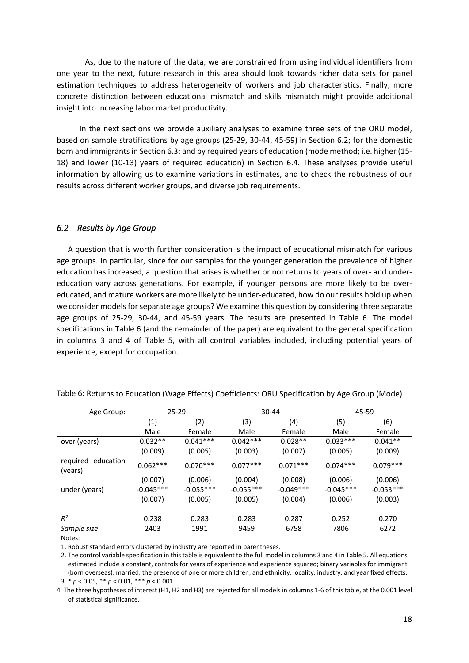As, due to the nature of the data, we are constrained from using individual identifiers from one year to the next, future research in this area should look towards richer data sets for panel estimation techniques to address heterogeneity of workers and job characteristics. Finally, more concrete distinction between educational mismatch and skills mismatch might provide additional insight into increasing labor market productivity.

In the next sections we provide auxiliary analyses to examine three sets of the ORU model, based on sample stratifications by age groups (25‐29, 30‐44, 45‐59) in Section 6.2; for the domestic born and immigrants in Section 6.3; and by required years of education (mode method; i.e. higher (15-18) and lower (10‐13) years of required education) in Section 6.4. These analyses provide useful information by allowing us to examine variations in estimates, and to check the robustness of our results across different worker groups, and diverse job requirements.

#### *6.2 Results by Age Group*

A question that is worth further consideration is the impact of educational mismatch for various age groups. In particular, since for our samples for the younger generation the prevalence of higher education has increased, a question that arises is whether or not returns to years of over- and undereducation vary across generations. For example, if younger persons are more likely to be over‐ educated, and mature workers are more likely to be under‐educated, how do our results hold up when we consider models for separate age groups? We examine this question by considering three separate age groups of 25‐29, 30‐44, and 45‐59 years. The results are presented in Table 6. The model specifications in Table 6 (and the remainder of the paper) are equivalent to the general specification in columns 3 and 4 of Table 5, with all control variables included, including potential years of experience, except for occupation.

| Age Group:                       |             | $25 - 29$   |             | $30 - 44$   | 45-59       |             |
|----------------------------------|-------------|-------------|-------------|-------------|-------------|-------------|
|                                  | (1)         | (2)         | (3)         | (4)         | (5)         | (6)         |
|                                  | Male        | Female      | Male        | Female      | Male        | Female      |
| over (years)                     | $0.032**$   | $0.041***$  | $0.042***$  | $0.028**$   | $0.033***$  | $0.041**$   |
|                                  | (0.009)     | (0.005)     | (0.003)     | (0.007)     | (0.005)     | (0.009)     |
| education<br>required<br>(years) | $0.062***$  | $0.070***$  | $0.077***$  | $0.071***$  | $0.074***$  | $0.079***$  |
|                                  | (0.007)     | (0.006)     | (0.004)     | (0.008)     | (0.006)     | (0.006)     |
| under (years)                    | $-0.045***$ | $-0.055***$ | $-0.055***$ | $-0.049***$ | $-0.045***$ | $-0.053***$ |
|                                  | (0.007)     | (0.005)     | (0.005)     | (0.004)     | (0.006)     | (0.003)     |
|                                  |             |             |             |             |             |             |
| $R^2$                            | 0.238       | 0.283       | 0.283       | 0.287       | 0.252       | 0.270       |
| Sample size                      | 2403        | 1991        | 9459        | 6758        | 7806        | 6272        |

Table 6: Returns to Education (Wage Effects) Coefficients: ORU Specification by Age Group (Mode)

Notes:

1. Robust standard errors clustered by industry are reported in parentheses.

2. The control variable specification in this table is equivalent to the full model in columns 3 and 4 in Table 5. All equations estimated include a constant, controls for years of experience and experience squared; binary variables for immigrant (born overseas), married, the presence of one or more children; and ethnicity, locality, industry, and year fixed effects. 3. \* *p* < 0.05, \*\* *p* < 0.01, \*\*\* *p* < 0.001

4. The three hypotheses of interest (H1, H2 and H3) are rejected for all models in columns 1‐6 of this table, at the 0.001 level of statistical significance.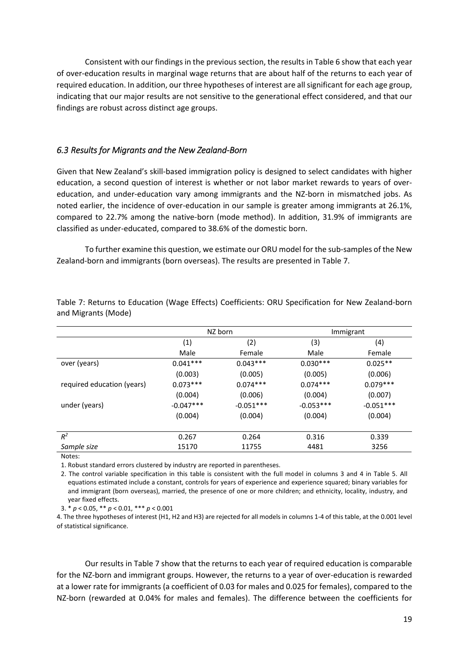Consistent with our findings in the previous section, the results in Table 6 show that each year of over-education results in marginal wage returns that are about half of the returns to each year of required education. In addition, our three hypotheses of interest are all significant for each age group, indicating that our major results are not sensitive to the generational effect considered, and that our findings are robust across distinct age groups.

#### *6.3 Results for Migrants and the New Zealand‐Born*

Given that New Zealand's skill‐based immigration policy is designed to select candidates with higher education, a second question of interest is whether or not labor market rewards to years of over‐ education, and under‐education vary among immigrants and the NZ‐born in mismatched jobs. As noted earlier, the incidence of over-education in our sample is greater among immigrants at 26.1%, compared to 22.7% among the native‐born (mode method). In addition, 31.9% of immigrants are classified as under‐educated, compared to 38.6% of the domestic born.

To further examine this question, we estimate our ORU model for the sub‐samples of the New Zealand‐born and immigrants (born overseas). The results are presented in Table 7.

|                            |             | NZ born     | Immigrant   |             |
|----------------------------|-------------|-------------|-------------|-------------|
|                            | (1)         | (2)         | (3)         | (4)         |
|                            | Male        | Female      | Male        | Female      |
| over (years)               | $0.041***$  | $0.043***$  | $0.030***$  | $0.025**$   |
|                            | (0.003)     | (0.005)     | (0.005)     | (0.006)     |
| required education (years) | $0.073***$  | $0.074***$  | $0.074***$  | $0.079***$  |
|                            | (0.004)     | (0.006)     | (0.004)     | (0.007)     |
| under (years)              | $-0.047***$ | $-0.051***$ | $-0.053***$ | $-0.051***$ |
|                            | (0.004)     | (0.004)     | (0.004)     | (0.004)     |
|                            |             |             |             |             |
| $R^2$                      | 0.267       | 0.264       | 0.316       | 0.339       |
| Sample size                | 15170       | 11755       | 4481        | 3256        |

Table 7: Returns to Education (Wage Effects) Coefficients: ORU Specification for New Zealand‐born and Migrants (Mode)

Notes:

1. Robust standard errors clustered by industry are reported in parentheses.

2. The control variable specification in this table is consistent with the full model in columns 3 and 4 in Table 5. All equations estimated include a constant, controls for years of experience and experience squared; binary variables for and immigrant (born overseas), married, the presence of one or more children; and ethnicity, locality, industry, and year fixed effects.

3. \* *p* < 0.05, \*\* *p* < 0.01, \*\*\* *p* < 0.001

4. The three hypotheses of interest (H1, H2 and H3) are rejected for all models in columns 1‐4 of this table, at the 0.001 level of statistical significance.

Our results in Table 7 show that the returns to each year of required education is comparable for the NZ-born and immigrant groups. However, the returns to a year of over-education is rewarded at a lower rate for immigrants (a coefficient of 0.03 for males and 0.025 for females), compared to the NZ‐born (rewarded at 0.04% for males and females). The difference between the coefficients for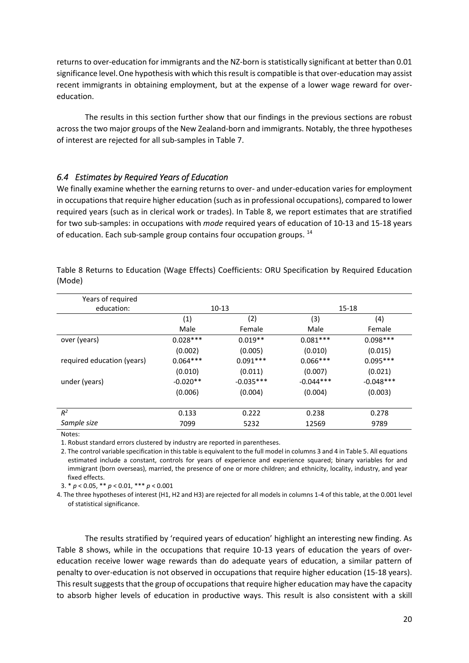returns to over-education for immigrants and the NZ-born is statistically significant at better than 0.01 significance level. One hypothesis with which this result is compatible is that over-education may assist recent immigrants in obtaining employment, but at the expense of a lower wage reward for over‐ education.

The results in this section further show that our findings in the previous sections are robust across the two major groups of the New Zealand‐born and immigrants. Notably, the three hypotheses of interest are rejected for all sub‐samples in Table 7.

#### *6.4 Estimates by Required Years of Education*

We finally examine whether the earning returns to over- and under-education varies for employment in occupations that require higher education (such as in professional occupations), compared to lower required years (such as in clerical work or trades). In Table 8, we report estimates that are stratified for two sub‐samples: in occupations with *mode* required years of education of 10‐13 and 15‐18 years of education. Each sub-sample group contains four occupation groups. <sup>14</sup>

| Years of required          |            |             |             |             |
|----------------------------|------------|-------------|-------------|-------------|
| education:                 |            | $10-13$     |             | 15-18       |
|                            | (1)        | (2)         | (3)         | (4)         |
|                            | Male       | Female      | Male        | Female      |
| over (years)               | $0.028***$ | $0.019**$   | $0.081***$  | $0.098***$  |
|                            | (0.002)    | (0.005)     | (0.010)     | (0.015)     |
| required education (years) | $0.064***$ | $0.091***$  | $0.066***$  | $0.095***$  |
|                            | (0.010)    | (0.011)     | (0.007)     | (0.021)     |
| under (years)              | $-0.020**$ | $-0.035***$ | $-0.044***$ | $-0.048***$ |
|                            | (0.006)    | (0.004)     | (0.004)     | (0.003)     |
|                            |            |             |             |             |
| $R^2$                      | 0.133      | 0.222       | 0.238       | 0.278       |
| Sample size                | 7099       | 5232        | 12569       | 9789        |

Table 8 Returns to Education (Wage Effects) Coefficients: ORU Specification by Required Education (Mode)

Notes:

1. Robust standard errors clustered by industry are reported in parentheses.

2. The control variable specification in this table is equivalent to the full model in columns 3 and 4 in Table 5. All equations estimated include a constant, controls for years of experience and experience squared; binary variables for and immigrant (born overseas), married, the presence of one or more children; and ethnicity, locality, industry, and year fixed effects.

3. \* *p* < 0.05, \*\* *p* < 0.01, \*\*\* *p* < 0.001

4. The three hypotheses of interest (H1, H2 and H3) are rejected for all models in columns 1‐4 of this table, at the 0.001 level of statistical significance.

The results stratified by 'required years of education' highlight an interesting new finding. As Table 8 shows, while in the occupations that require 10-13 years of education the years of overeducation receive lower wage rewards than do adequate years of education, a similar pattern of penalty to over‐education is not observed in occupations that require higher education (15‐18 years). This result suggests that the group of occupations that require higher education may have the capacity to absorb higher levels of education in productive ways. This result is also consistent with a skill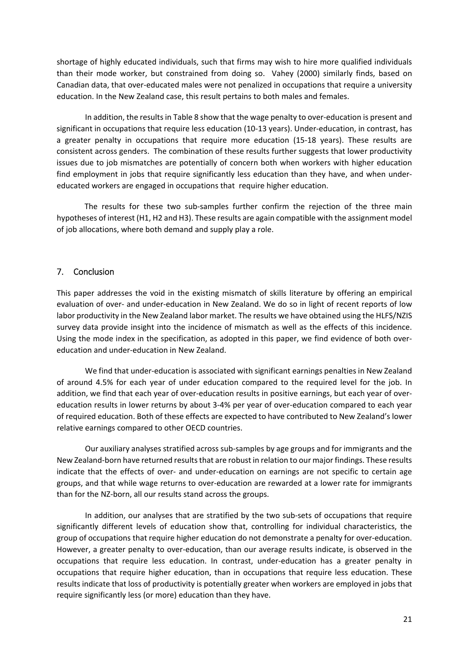shortage of highly educated individuals, such that firms may wish to hire more qualified individuals than their mode worker, but constrained from doing so. Vahey (2000) similarly finds, based on Canadian data, that over‐educated males were not penalized in occupations that require a university education. In the New Zealand case, this result pertains to both males and females.

In addition, the results in Table 8 show that the wage penalty to over-education is present and significant in occupations that require less education (10-13 years). Under-education, in contrast, has a greater penalty in occupations that require more education (15‐18 years). These results are consistent across genders. The combination of these results further suggests that lower productivity issues due to job mismatches are potentially of concern both when workers with higher education find employment in jobs that require significantly less education than they have, and when under‐ educated workers are engaged in occupations that require higher education.

The results for these two sub-samples further confirm the rejection of the three main hypotheses of interest (H1, H2 and H3). These results are again compatible with the assignment model of job allocations, where both demand and supply play a role.

#### 7. Conclusion

This paper addresses the void in the existing mismatch of skills literature by offering an empirical evaluation of over‐ and under‐education in New Zealand. We do so in light of recent reports of low labor productivity in the New Zealand labor market. The results we have obtained using the HLFS/NZIS survey data provide insight into the incidence of mismatch as well as the effects of this incidence. Using the mode index in the specification, as adopted in this paper, we find evidence of both over‐ education and under‐education in New Zealand.

We find that under‐education is associated with significant earnings penalties in New Zealand of around 4.5% for each year of under education compared to the required level for the job. In addition, we find that each year of over-education results in positive earnings, but each year of overeducation results in lower returns by about 3‐4% per year of over‐education compared to each year of required education. Both of these effects are expected to have contributed to New Zealand's lower relative earnings compared to other OECD countries.

Our auxiliary analyses stratified across sub‐samples by age groups and for immigrants and the New Zealand-born have returned results that are robust in relation to our major findings. These results indicate that the effects of over‐ and under‐education on earnings are not specific to certain age groups, and that while wage returns to over‐education are rewarded at a lower rate for immigrants than for the NZ‐born, all our results stand across the groups.

In addition, our analyses that are stratified by the two sub‐sets of occupations that require significantly different levels of education show that, controlling for individual characteristics, the group of occupations that require higher education do not demonstrate a penalty for over‐education. However, a greater penalty to over‐education, than our average results indicate, is observed in the occupations that require less education. In contrast, under‐education has a greater penalty in occupations that require higher education, than in occupations that require less education. These results indicate that loss of productivity is potentially greater when workers are employed in jobs that require significantly less (or more) education than they have.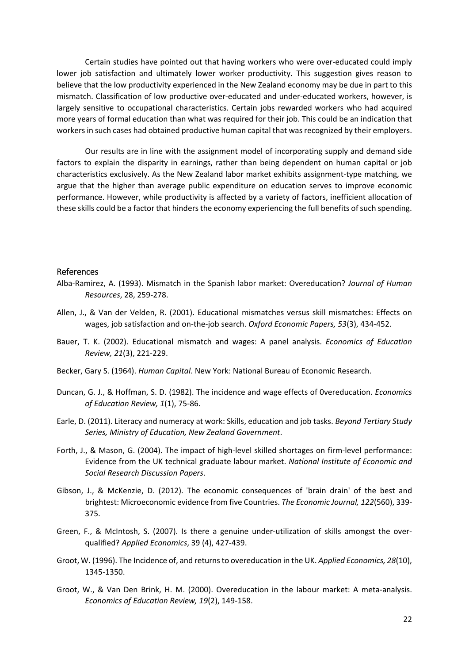Certain studies have pointed out that having workers who were over‐educated could imply lower job satisfaction and ultimately lower worker productivity. This suggestion gives reason to believe that the low productivity experienced in the New Zealand economy may be due in part to this mismatch. Classification of low productive over‐educated and under‐educated workers, however, is largely sensitive to occupational characteristics. Certain jobs rewarded workers who had acquired more years of formal education than what was required for their job. This could be an indication that workersin such cases had obtained productive human capital that wasrecognized by their employers.

Our results are in line with the assignment model of incorporating supply and demand side factors to explain the disparity in earnings, rather than being dependent on human capital or job characteristics exclusively. As the New Zealand labor market exhibits assignment‐type matching, we argue that the higher than average public expenditure on education serves to improve economic performance. However, while productivity is affected by a variety of factors, inefficient allocation of these skills could be a factor that hinders the economy experiencing the full benefits of such spending.

#### References

- Alba‐Ramirez, A. (1993). Mismatch in the Spanish labor market: Overeducation? *Journal of Human Resources*, 28, 259‐278.
- Allen, J., & Van der Velden, R. (2001). Educational mismatches versus skill mismatches: Effects on wages, job satisfaction and on‐the‐job search. *Oxford Economic Papers, 53*(3), 434‐452.
- Bauer, T. K. (2002). Educational mismatch and wages: A panel analysis. *Economics of Education Review, 21*(3), 221‐229.
- Becker, Gary S. (1964). *Human Capital*. New York: National Bureau of Economic Research.
- Duncan, G. J., & Hoffman, S. D. (1982). The incidence and wage effects of 0vereducation. *Economics of Education Review, 1*(1), 75‐86.
- Earle, D. (2011). Literacy and numeracy at work: Skills, education and job tasks. *Beyond Tertiary Study Series, Ministry of Education, New Zealand Government*.
- Forth, J., & Mason, G. (2004). The impact of high‐level skilled shortages on firm‐level performance: Evidence from the UK technical graduate labour market. *National Institute of Economic and Social Research Discussion Papers*.
- Gibson, J., & McKenzie, D. (2012). The economic consequences of 'brain drain' of the best and brightest: Microeconomic evidence from five Countries. *The Economic Journal, 122*(560), 339‐ 375.
- Green, F., & McIntosh, S. (2007). Is there a genuine under‐utilization of skills amongst the over‐ qualified? *Applied Economics*, 39 (4), 427‐439.
- Groot, W. (1996). The Incidence of, and returnsto overeducation in the UK. *Applied Economics, 28*(10), 1345‐1350.
- Groot, W., & Van Den Brink, H. M. (2000). Overeducation in the labour market: A meta-analysis. *Economics of Education Review, 19*(2), 149‐158.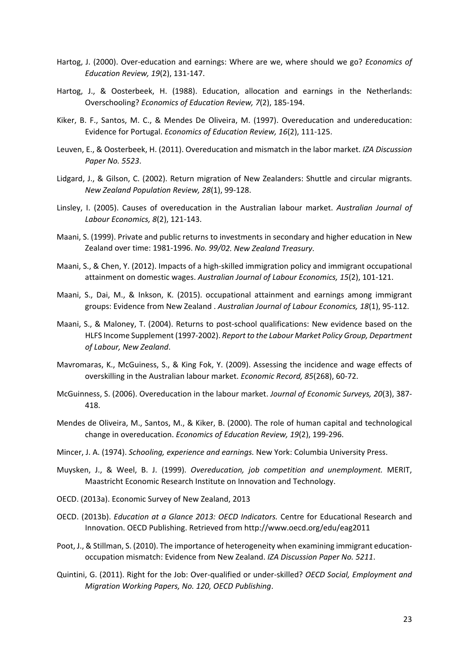- Hartog, J. (2000). Over‐education and earnings: Where are we, where should we go? *Economics of Education Review, 19*(2), 131‐147.
- Hartog, J., & Oosterbeek, H. (1988). Education, allocation and earnings in the Netherlands: Overschooling? *Economics of Education Review, 7*(2), 185‐194.
- Kiker, B. F., Santos, M. C., & Mendes De Oliveira, M. (1997). Overeducation and undereducation: Evidence for Portugal. *Economics of Education Review, 16*(2), 111‐125.
- Leuven, E., & Oosterbeek, H. (2011). Overeducation and mismatch in the labor market. *IZA Discussion Paper No. 5523*.
- Lidgard, J., & Gilson, C. (2002). Return migration of New Zealanders: Shuttle and circular migrants. *New Zealand Population Review, 28*(1), 99‐128.
- Linsley, I. (2005). Causes of overeducation in the Australian labour market. *Australian Journal of Labour Economics, 8*(2), 121‐143.
- Maani, S. (1999). Private and public returns to investments in secondary and higher education in New Zealand over time: 1981‐1996. *No. 99/02. New Zealand Treasury*.
- Maani, S., & Chen, Y. (2012). Impacts of a high‐skilled immigration policy and immigrant occupational attainment on domestic wages. *Australian Journal of Labour Economics, 15*(2), 101‐121.
- Maani, S., Dai, M., & Inkson, K. (2015). occupational attainment and earnings among immigrant groups: Evidence from New Zealand . *Australian Journal of Labour Economics, 18*(1), 95‐112.
- Maani, S., & Maloney, T. (2004). Returns to post‐school qualifications: New evidence based on the HLFS Income Supplement (1997‐2002). *Report to the Labour Market Policy Group, Department of Labour, New Zealand*.
- Mavromaras, K., McGuiness, S., & King Fok, Y. (2009). Assessing the incidence and wage effects of overskilling in the Australian labour market. *Economic Record, 85*(268), 60‐72.
- McGuinness, S. (2006). Overeducation in the labour market. *Journal of Economic Surveys, 20*(3), 387‐ 418.
- Mendes de Oliveira, M., Santos, M., & Kiker, B. (2000). The role of human capital and technological change in overeducation. *Economics of Education Review, 19*(2), 199‐296.
- Mincer, J. A. (1974). *Schooling, experience and earnings.* New York: Columbia University Press.
- Muysken, J., & Weel, B. J. (1999). *Overeducation, job competition and unemployment.* MERIT, Maastricht Economic Research Institute on Innovation and Technology.
- OECD. (2013a). Economic Survey of New Zealand, 2013
- OECD. (2013b). *Education at a Glance 2013: OECD Indicators.* Centre for Educational Research and Innovation. OECD Publishing. Retrieved from http://www.oecd.org/edu/eag2011
- Poot, J., & Stillman, S. (2010). The importance of heterogeneity when examining immigrant education‐ occupation mismatch: Evidence from New Zealand. *IZA Discussion Paper No. 5211*.
- Quintini, G. (2011). Right for the Job: Over‐qualified or under‐skilled? *OECD Social, Employment and Migration Working Papers, No. 120, OECD Publishing*.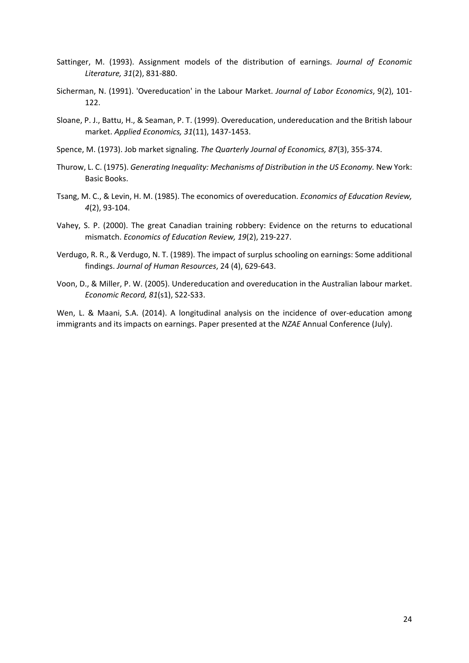- Sattinger, M. (1993). Assignment models of the distribution of earnings. *Journal of Economic Literature, 31*(2), 831‐880.
- Sicherman, N. (1991). 'Overeducation' in the Labour Market. *Journal of Labor Economics*, 9(2), 101‐ 122.
- Sloane, P. J., Battu, H., & Seaman, P. T. (1999). Overeducation, undereducation and the British labour market. *Applied Economics, 31*(11), 1437‐1453.
- Spence, M. (1973). Job market signaling. *The Quarterly Journal of Economics, 87*(3), 355‐374.
- Thurow, L. C. (1975). *Generating Inequality: Mechanisms of Distribution in the US Economy.* New York: Basic Books.
- Tsang, M. C., & Levin, H. M. (1985). The economics of overeducation. *Economics of Education Review, 4*(2), 93‐104.
- Vahey, S. P. (2000). The great Canadian training robbery: Evidence on the returns to educational mismatch. *Economics of Education Review, 19*(2), 219‐227.
- Verdugo, R. R., & Verdugo, N. T. (1989). The impact of surplus schooling on earnings: Some additional findings. *Journal of Human Resources*, 24 (4), 629‐643.
- Voon, D., & Miller, P. W. (2005). Undereducation and overeducation in the Australian labour market. *Economic Record, 81*(s1), S22‐S33.

Wen, L. & Maani, S.A. (2014). A longitudinal analysis on the incidence of over-education among immigrants and its impacts on earnings. Paper presented at the *NZAE* Annual Conference (July).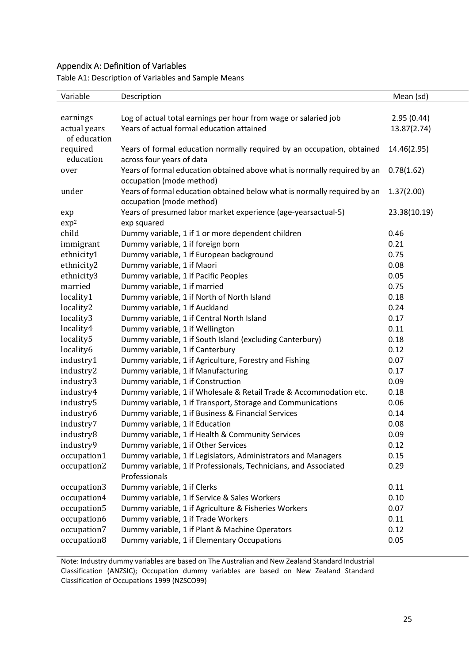# Appendix A: Definition of Variables

Table A1: Description of Variables and Sample Means

| Variable                     | Description                                                                                                  | Mean (sd)                 |
|------------------------------|--------------------------------------------------------------------------------------------------------------|---------------------------|
|                              |                                                                                                              |                           |
| earnings                     | Log of actual total earnings per hour from wage or salaried job<br>Years of actual formal education attained | 2.95(0.44)<br>13.87(2.74) |
| actual years<br>of education |                                                                                                              |                           |
| required                     | Years of formal education normally required by an occupation, obtained                                       | 14.46(2.95)               |
| education                    | across four years of data                                                                                    |                           |
| over                         | Years of formal education obtained above what is normally required by an                                     | 0.78(1.62)                |
|                              | occupation (mode method)                                                                                     |                           |
| under                        | Years of formal education obtained below what is normally required by an                                     | 1.37(2.00)                |
|                              | occupation (mode method)                                                                                     |                           |
| exp                          | Years of presumed labor market experience (age-yearsactual-5)                                                | 23.38(10.19)              |
| exp <sup>2</sup>             | exp squared                                                                                                  |                           |
| child                        | Dummy variable, 1 if 1 or more dependent children                                                            | 0.46                      |
| immigrant                    | Dummy variable, 1 if foreign born                                                                            | 0.21                      |
| ethnicity1                   | Dummy variable, 1 if European background                                                                     | 0.75                      |
| ethnicity2                   | Dummy variable, 1 if Maori                                                                                   | 0.08                      |
| ethnicity3                   | Dummy variable, 1 if Pacific Peoples                                                                         | 0.05                      |
| married                      | Dummy variable, 1 if married                                                                                 | 0.75                      |
| locality1                    | Dummy variable, 1 if North of North Island                                                                   | 0.18                      |
| locality2                    | Dummy variable, 1 if Auckland                                                                                | 0.24                      |
| locality3                    | Dummy variable, 1 if Central North Island                                                                    | 0.17                      |
| locality4                    | Dummy variable, 1 if Wellington                                                                              | 0.11                      |
| locality5                    | Dummy variable, 1 if South Island (excluding Canterbury)                                                     | 0.18                      |
| locality6                    | Dummy variable, 1 if Canterbury                                                                              | 0.12                      |
| industry1                    | Dummy variable, 1 if Agriculture, Forestry and Fishing                                                       | 0.07                      |
| industry2                    | Dummy variable, 1 if Manufacturing                                                                           | 0.17                      |
| industry3                    | Dummy variable, 1 if Construction                                                                            | 0.09                      |
| industry4                    | Dummy variable, 1 if Wholesale & Retail Trade & Accommodation etc.                                           | 0.18                      |
| industry5                    | Dummy variable, 1 if Transport, Storage and Communications                                                   | 0.06                      |
| industry6                    | Dummy variable, 1 if Business & Financial Services                                                           | 0.14                      |
| industry7                    | Dummy variable, 1 if Education                                                                               | 0.08                      |
| industry8                    | Dummy variable, 1 if Health & Community Services                                                             | 0.09                      |
| industry9                    | Dummy variable, 1 if Other Services                                                                          | 0.12                      |
| occupation1                  | Dummy variable, 1 if Legislators, Administrators and Managers                                                | 0.15                      |
| occupation2                  | Dummy variable, 1 if Professionals, Technicians, and Associated                                              | 0.29                      |
|                              | Professionals                                                                                                |                           |
| occupation3                  | Dummy variable, 1 if Clerks                                                                                  | 0.11                      |
| occupation4                  | Dummy variable, 1 if Service & Sales Workers                                                                 | 0.10                      |
| occupation5                  | Dummy variable, 1 if Agriculture & Fisheries Workers                                                         | 0.07                      |
| occupation6                  | Dummy variable, 1 if Trade Workers                                                                           | 0.11                      |
| occupation7                  | Dummy variable, 1 if Plant & Machine Operators                                                               | 0.12                      |
| occupation8                  | Dummy variable, 1 if Elementary Occupations                                                                  | 0.05                      |

Note: Industry dummy variables are based on The Australian and New Zealand Standard Industrial Classification (ANZSIC); Occupation dummy variables are based on New Zealand Standard Classification of Occupations 1999 (NZSCO99)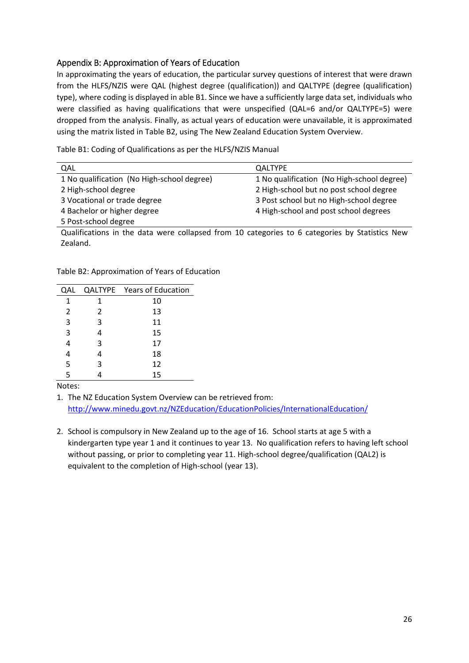#### Appendix B: Approximation of Years of Education

In approximating the years of education, the particular survey questions of interest that were drawn from the HLFS/NZIS were QAL (highest degree (qualification)) and QALTYPE (degree (qualification) type), where coding is displayed in able B1. Since we have a sufficiently large data set, individuals who were classified as having qualifications that were unspecified (QAL=6 and/or QALTYPE=5) were dropped from the analysis. Finally, as actual years of education were unavailable, it is approximated using the matrix listed in Table B2, using The New Zealand Education System Overview.

QAL QALTYPE 1 No qualification (No High‐school degree) 1 No qualification (No High‐school degree) 2 High‐school degree 2 High‐school but no post school degree 3 Vocational or trade degree 3 Post school but no High-school degree 4 Bachelor or higher degree 4 High-school and post school degrees 5 Post‐school degree

Table B1: Coding of Qualifications as per the HLFS/NZIS Manual

Qualifications in the data were collapsed from 10 categories to 6 categories by Statistics New Zealand.

| QAL            |   | <b>QALTYPE</b> Years of Education |
|----------------|---|-----------------------------------|
| 1              | 1 | 10                                |
| $\overline{2}$ | 2 | 13                                |
| 3              | 3 | 11                                |
| 3              | 4 | 15                                |
| 4              | 3 | 17                                |
| 4              | 4 | 18                                |
| 5              | 3 | 12                                |
| 5              |   | 15                                |

Table B2: Approximation of Years of Education

Notes:

1. The NZ Education System Overview can be retrieved from: http://www.minedu.govt.nz/NZEducation/EducationPolicies/InternationalEducation/

2. School is compulsory in New Zealand up to the age of 16. School starts at age 5 with a kindergarten type year 1 and it continues to year 13. No qualification refers to having left school without passing, or prior to completing year 11. High-school degree/qualification (QAL2) is equivalent to the completion of High‐school (year 13).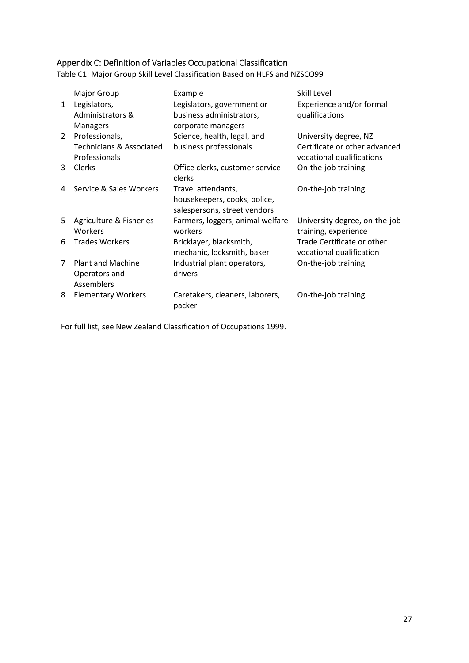### Appendix C: Definition of Variables Occupational Classification

|                | Major Group                                             | Example                                                                            | Skill Level                                                |
|----------------|---------------------------------------------------------|------------------------------------------------------------------------------------|------------------------------------------------------------|
| $\mathbf{1}$   | Legislators,                                            | Legislators, government or                                                         | Experience and/or formal                                   |
|                | Administrators &                                        | business administrators,                                                           | qualifications                                             |
|                | Managers                                                | corporate managers                                                                 |                                                            |
| $\overline{2}$ | Professionals,                                          | Science, health, legal, and                                                        | University degree, NZ                                      |
|                | <b>Technicians &amp; Associated</b><br>Professionals    | business professionals                                                             | Certificate or other advanced<br>vocational qualifications |
| 3              | Clerks                                                  | Office clerks, customer service<br>clerks                                          | On-the-job training                                        |
|                | Service & Sales Workers                                 | Travel attendants,<br>housekeepers, cooks, police,<br>salespersons, street vendors | On-the-job training                                        |
| 5              | Agriculture & Fisheries<br>Workers                      | Farmers, loggers, animal welfare<br>workers                                        | University degree, on-the-job<br>training, experience      |
| 6              | <b>Trades Workers</b>                                   | Bricklayer, blacksmith,<br>mechanic, locksmith, baker                              | Trade Certificate or other<br>vocational qualification     |
|                | <b>Plant and Machine</b><br>Operators and<br>Assemblers | Industrial plant operators,<br>drivers                                             | On-the-job training                                        |
| 8              | <b>Elementary Workers</b>                               | Caretakers, cleaners, laborers,<br>packer                                          | On-the-job training                                        |

Table C1: Major Group Skill Level Classification Based on HLFS and NZSCO99

For full list, see New Zealand Classification of Occupations 1999.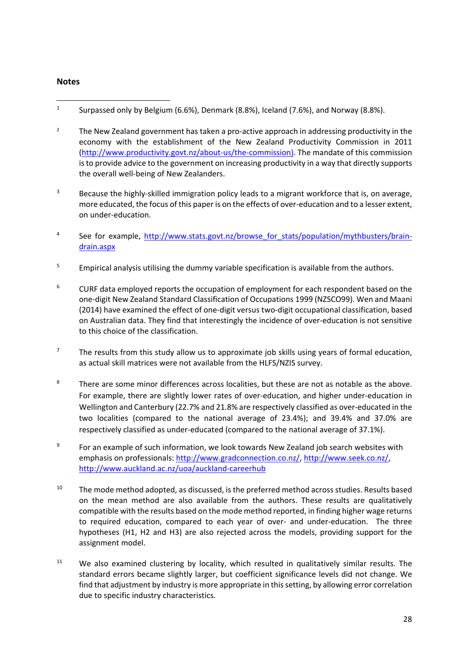#### **Notes**

- <sup>1</sup> Surpassed only by Belgium (6.6%), Denmark (8.8%), Iceland (7.6%), and Norway (8.8%).
- <sup>2</sup> The New Zealand government has taken a pro-active approach in addressing productivity in the economy with the establishment of the New Zealand Productivity Commission in 2011 (http://www.productivity.govt.nz/about‐us/the‐commission). The mandate of this commission isto provide advice to the government on increasing productivity in a way that directly supports the overall well‐being of New Zealanders.
- <sup>3</sup> Because the highly-skilled immigration policy leads to a migrant workforce that is, on average, more educated, the focus of this paper is on the effects of over-education and to a lesser extent, on under‐education.
- 4 See for example, http://www.stats.govt.nz/browse\_for\_stats/population/mythbusters/braindrain.aspx
- $5$  Empirical analysis utilising the dummy variable specification is available from the authors.
- $6$  CURF data employed reports the occupation of employment for each respondent based on the one‐digit New Zealand Standard Classification of Occupations 1999 (NZSCO99). Wen and Maani (2014) have examined the effect of one-digit versus two-digit occupational classification, based on Australian data. They find that interestingly the incidence of over‐education is not sensitive to this choice of the classification.
- <sup>7</sup> The results from this study allow us to approximate job skills using years of formal education, as actual skill matrices were not available from the HLFS/NZIS survey.
- $8$  There are some minor differences across localities, but these are not as notable as the above. For example, there are slightly lower rates of over-education, and higher under-education in Wellington and Canterbury (22.7% and 21.8% are respectively classified as over‐educated in the two localities (compared to the national average of 23.4%); and 39.4% and 37.0% are respectively classified as under‐educated (compared to the national average of 37.1%).
- $9 9$  For an example of such information, we look towards New Zealand job search websites with emphasis on professionals: http://www.gradconnection.co.nz/, http://www.seek.co.nz/, http://www.auckland.ac.nz/uoa/auckland‐careerhub
- $10$  The mode method adopted, as discussed, is the preferred method across studies. Results based on the mean method are also available from the authors. These results are qualitatively compatible with the results based on the mode method reported, in finding higher wage returns to required education, compared to each year of over- and under-education. The three hypotheses (H1, H2 and H3) are also rejected across the models, providing support for the assignment model.
- <sup>11</sup> We also examined clustering by locality, which resulted in qualitatively similar results. The standard errors became slightly larger, but coefficient significance levels did not change. We find that adjustment by industry is more appropriate in this setting, by allowing error correlation due to specific industry characteristics.